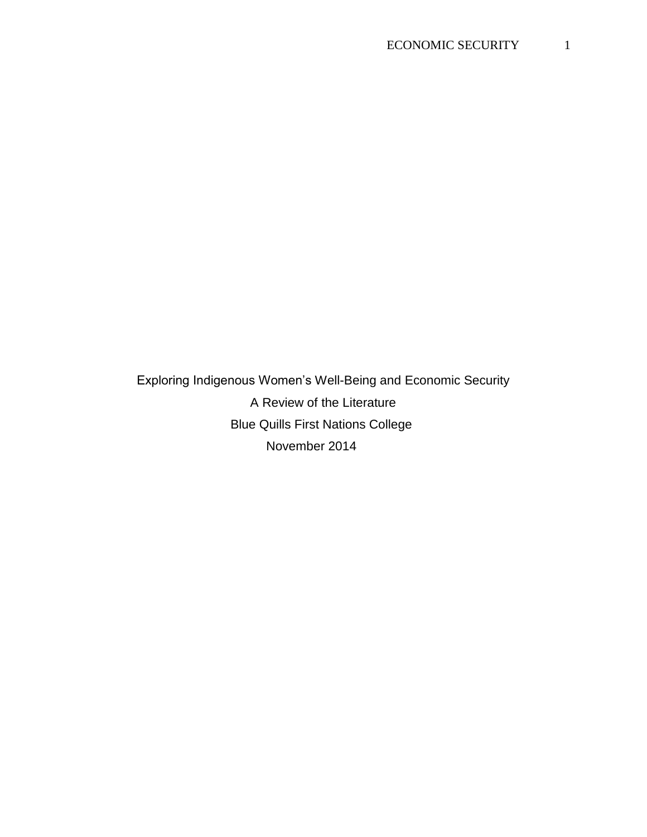Exploring Indigenous Women's Well-Being and Economic Security A Review of the Literature Blue Quills First Nations College November 2014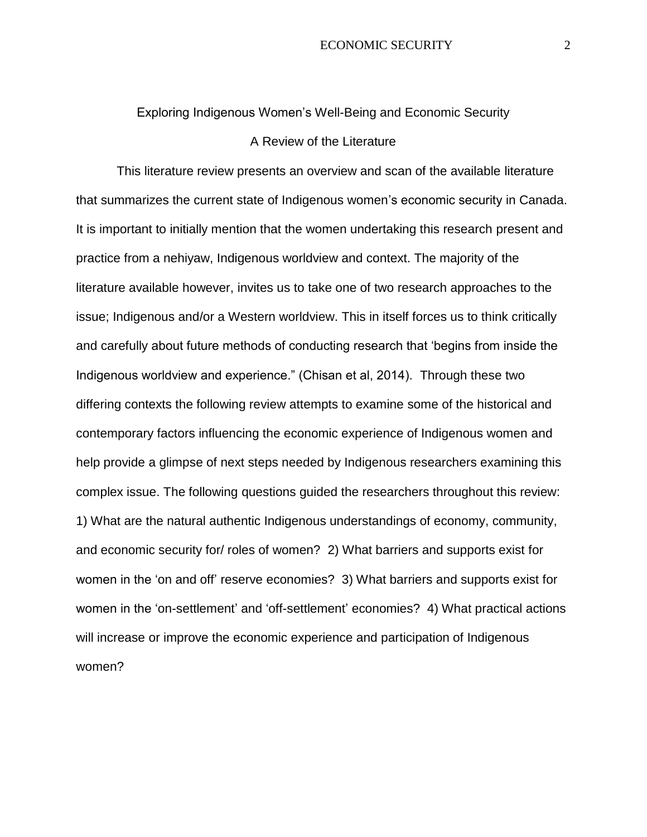## Exploring Indigenous Women's Well-Being and Economic Security A Review of the Literature

 This literature review presents an overview and scan of the available literature that summarizes the current state of Indigenous women's economic security in Canada. It is important to initially mention that the women undertaking this research present and practice from a nehiyaw, Indigenous worldview and context. The majority of the literature available however, invites us to take one of two research approaches to the issue; Indigenous and/or a Western worldview. This in itself forces us to think critically and carefully about future methods of conducting research that 'begins from inside the Indigenous worldview and experience." (Chisan et al, 2014). Through these two differing contexts the following review attempts to examine some of the historical and contemporary factors influencing the economic experience of Indigenous women and help provide a glimpse of next steps needed by Indigenous researchers examining this complex issue. The following questions guided the researchers throughout this review: 1) What are the natural authentic Indigenous understandings of economy, community, and economic security for/ roles of women? 2) What barriers and supports exist for women in the 'on and off' reserve economies? 3) What barriers and supports exist for women in the 'on-settlement' and 'off-settlement' economies? 4) What practical actions will increase or improve the economic experience and participation of Indigenous women?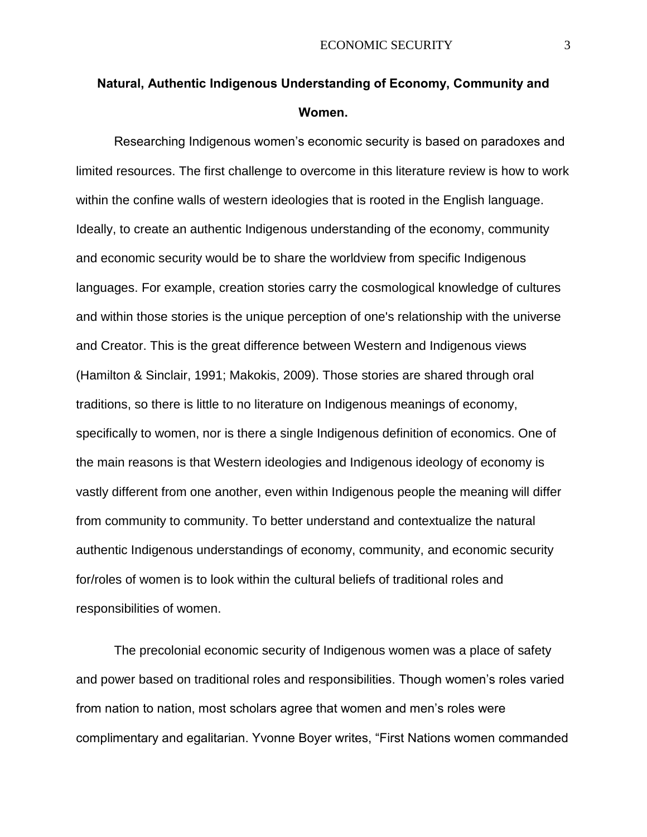## **Natural, Authentic Indigenous Understanding of Economy, Community and Women.**

Researching Indigenous women's economic security is based on paradoxes and limited resources. The first challenge to overcome in this literature review is how to work within the confine walls of western ideologies that is rooted in the English language. Ideally, to create an authentic Indigenous understanding of the economy, community and economic security would be to share the worldview from specific Indigenous languages. For example, creation stories carry the cosmological knowledge of cultures and within those stories is the unique perception of one's relationship with the universe and Creator. This is the great difference between Western and Indigenous views (Hamilton & Sinclair, 1991; Makokis, 2009). Those stories are shared through oral traditions, so there is little to no literature on Indigenous meanings of economy, specifically to women, nor is there a single Indigenous definition of economics. One of the main reasons is that Western ideologies and Indigenous ideology of economy is vastly different from one another, even within Indigenous people the meaning will differ from community to community. To better understand and contextualize the natural authentic Indigenous understandings of economy, community, and economic security for/roles of women is to look within the cultural beliefs of traditional roles and responsibilities of women.

The precolonial economic security of Indigenous women was a place of safety and power based on traditional roles and responsibilities. Though women's roles varied from nation to nation, most scholars agree that women and men's roles were complimentary and egalitarian. Yvonne Boyer writes, "First Nations women commanded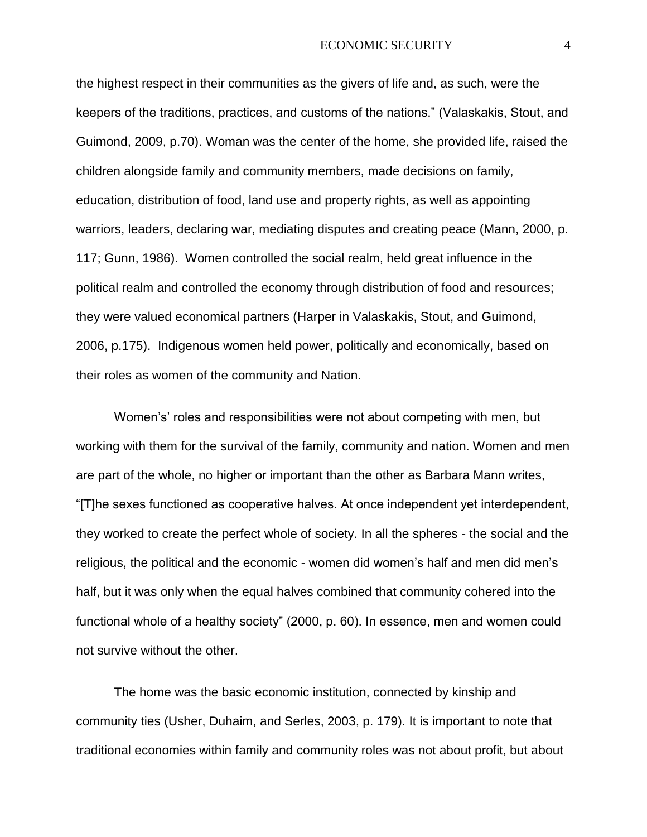the highest respect in their communities as the givers of life and, as such, were the keepers of the traditions, practices, and customs of the nations." (Valaskakis, Stout, and Guimond, 2009, p.70). Woman was the center of the home, she provided life, raised the children alongside family and community members, made decisions on family, education, distribution of food, land use and property rights, as well as appointing warriors, leaders, declaring war, mediating disputes and creating peace (Mann, 2000, p. 117; Gunn, 1986). Women controlled the social realm, held great influence in the political realm and controlled the economy through distribution of food and resources; they were valued economical partners (Harper in Valaskakis, Stout, and Guimond, 2006, p.175). Indigenous women held power, politically and economically, based on their roles as women of the community and Nation.

Women's' roles and responsibilities were not about competing with men, but working with them for the survival of the family, community and nation. Women and men are part of the whole, no higher or important than the other as Barbara Mann writes, "[T]he sexes functioned as cooperative halves. At once independent yet interdependent, they worked to create the perfect whole of society. In all the spheres - the social and the religious, the political and the economic - women did women's half and men did men's half, but it was only when the equal halves combined that community cohered into the functional whole of a healthy society" (2000, p. 60). In essence, men and women could not survive without the other.

The home was the basic economic institution, connected by kinship and community ties (Usher, Duhaim, and Serles, 2003, p. 179). It is important to note that traditional economies within family and community roles was not about profit, but about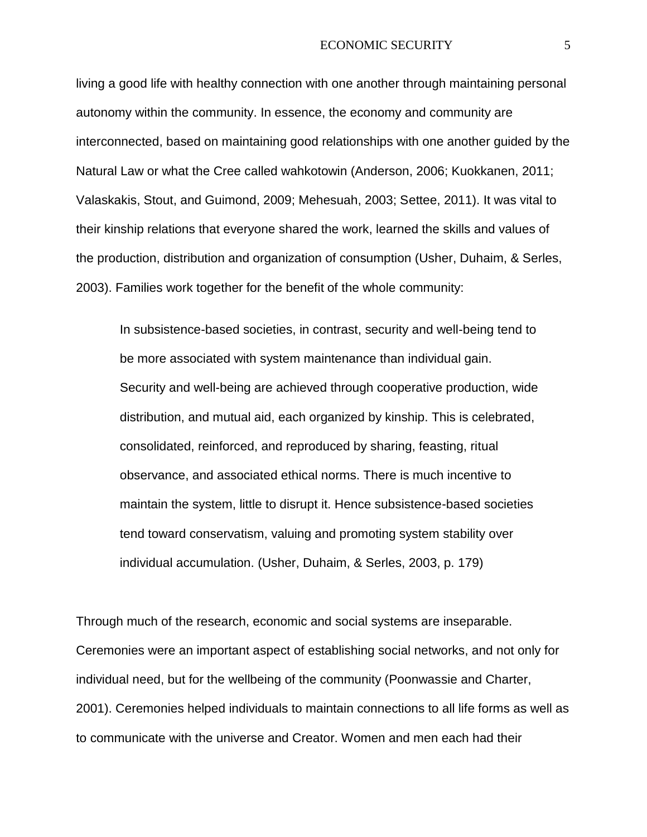living a good life with healthy connection with one another through maintaining personal autonomy within the community. In essence, the economy and community are interconnected, based on maintaining good relationships with one another guided by the Natural Law or what the Cree called wahkotowin (Anderson, 2006; Kuokkanen, 2011; Valaskakis, Stout, and Guimond, 2009; Mehesuah, 2003; Settee, 2011). It was vital to their kinship relations that everyone shared the work, learned the skills and values of the production, distribution and organization of consumption (Usher, Duhaim, & Serles, 2003). Families work together for the benefit of the whole community:

In subsistence-based societies, in contrast, security and well-being tend to be more associated with system maintenance than individual gain. Security and well-being are achieved through cooperative production, wide distribution, and mutual aid, each organized by kinship. This is celebrated, consolidated, reinforced, and reproduced by sharing, feasting, ritual observance, and associated ethical norms. There is much incentive to maintain the system, little to disrupt it. Hence subsistence-based societies tend toward conservatism, valuing and promoting system stability over individual accumulation. (Usher, Duhaim, & Serles, 2003, p. 179)

Through much of the research, economic and social systems are inseparable. Ceremonies were an important aspect of establishing social networks, and not only for individual need, but for the wellbeing of the community (Poonwassie and Charter, 2001). Ceremonies helped individuals to maintain connections to all life forms as well as to communicate with the universe and Creator. Women and men each had their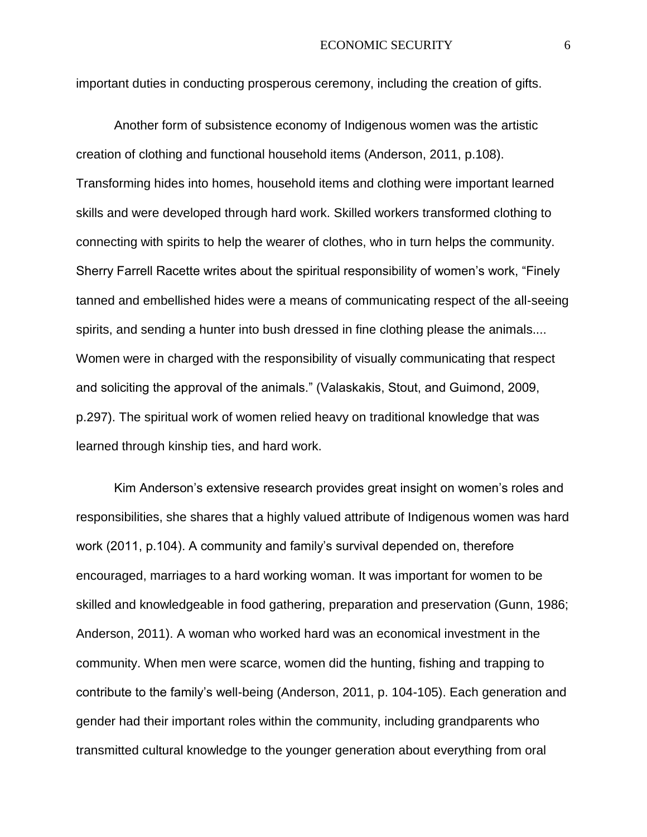important duties in conducting prosperous ceremony, including the creation of gifts.

Another form of subsistence economy of Indigenous women was the artistic creation of clothing and functional household items (Anderson, 2011, p.108). Transforming hides into homes, household items and clothing were important learned skills and were developed through hard work. Skilled workers transformed clothing to connecting with spirits to help the wearer of clothes, who in turn helps the community. Sherry Farrell Racette writes about the spiritual responsibility of women's work, "Finely tanned and embellished hides were a means of communicating respect of the all-seeing spirits, and sending a hunter into bush dressed in fine clothing please the animals.... Women were in charged with the responsibility of visually communicating that respect and soliciting the approval of the animals." (Valaskakis, Stout, and Guimond, 2009, p.297). The spiritual work of women relied heavy on traditional knowledge that was learned through kinship ties, and hard work.

Kim Anderson's extensive research provides great insight on women's roles and responsibilities, she shares that a highly valued attribute of Indigenous women was hard work (2011, p.104). A community and family's survival depended on, therefore encouraged, marriages to a hard working woman. It was important for women to be skilled and knowledgeable in food gathering, preparation and preservation (Gunn, 1986; Anderson, 2011). A woman who worked hard was an economical investment in the community. When men were scarce, women did the hunting, fishing and trapping to contribute to the family's well-being (Anderson, 2011, p. 104-105). Each generation and gender had their important roles within the community, including grandparents who transmitted cultural knowledge to the younger generation about everything from oral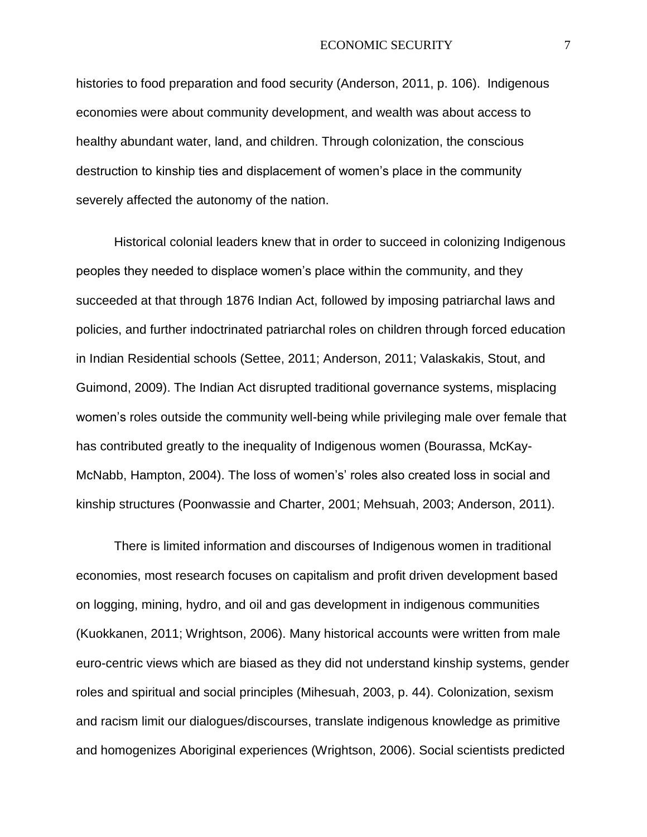histories to food preparation and food security (Anderson, 2011, p. 106). Indigenous economies were about community development, and wealth was about access to healthy abundant water, land, and children. Through colonization, the conscious destruction to kinship ties and displacement of women's place in the community severely affected the autonomy of the nation.

Historical colonial leaders knew that in order to succeed in colonizing Indigenous peoples they needed to displace women's place within the community, and they succeeded at that through 1876 Indian Act, followed by imposing patriarchal laws and policies, and further indoctrinated patriarchal roles on children through forced education in Indian Residential schools (Settee, 2011; Anderson, 2011; Valaskakis, Stout, and Guimond, 2009). The Indian Act disrupted traditional governance systems, misplacing women's roles outside the community well-being while privileging male over female that has contributed greatly to the inequality of Indigenous women (Bourassa, McKay-McNabb, Hampton, 2004). The loss of women's' roles also created loss in social and kinship structures (Poonwassie and Charter, 2001; Mehsuah, 2003; Anderson, 2011).

There is limited information and discourses of Indigenous women in traditional economies, most research focuses on capitalism and profit driven development based on logging, mining, hydro, and oil and gas development in indigenous communities (Kuokkanen, 2011; Wrightson, 2006). Many historical accounts were written from male euro-centric views which are biased as they did not understand kinship systems, gender roles and spiritual and social principles (Mihesuah, 2003, p. 44). Colonization, sexism and racism limit our dialogues/discourses, translate indigenous knowledge as primitive and homogenizes Aboriginal experiences (Wrightson, 2006). Social scientists predicted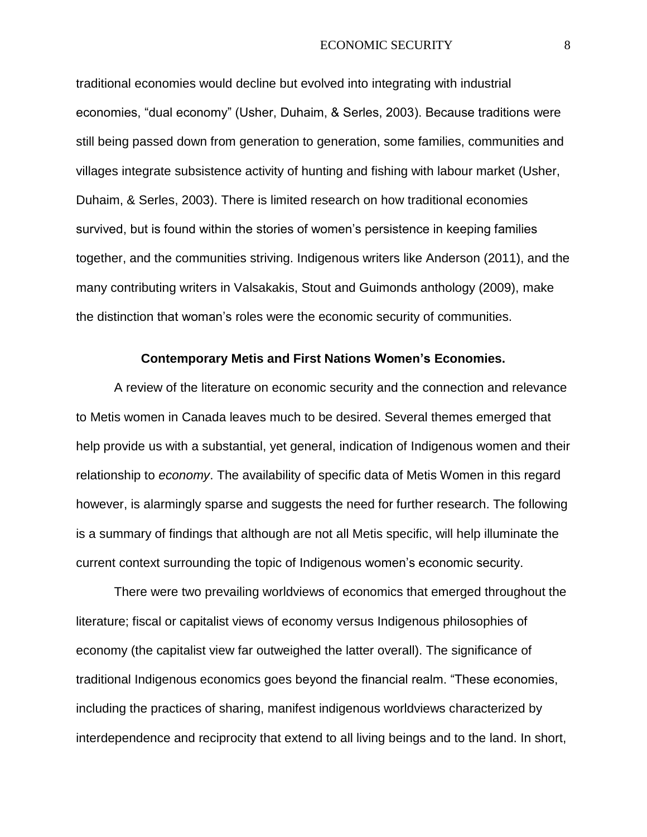traditional economies would decline but evolved into integrating with industrial economies, "dual economy" (Usher, Duhaim, & Serles, 2003). Because traditions were still being passed down from generation to generation, some families, communities and villages integrate subsistence activity of hunting and fishing with labour market (Usher, Duhaim, & Serles, 2003). There is limited research on how traditional economies survived, but is found within the stories of women's persistence in keeping families together, and the communities striving. Indigenous writers like Anderson (2011), and the many contributing writers in Valsakakis, Stout and Guimonds anthology (2009), make the distinction that woman's roles were the economic security of communities.

#### **Contemporary Metis and First Nations Women's Economies.**

A review of the literature on economic security and the connection and relevance to Metis women in Canada leaves much to be desired. Several themes emerged that help provide us with a substantial, yet general, indication of Indigenous women and their relationship to *economy*. The availability of specific data of Metis Women in this regard however, is alarmingly sparse and suggests the need for further research. The following is a summary of findings that although are not all Metis specific, will help illuminate the current context surrounding the topic of Indigenous women's economic security.

There were two prevailing worldviews of economics that emerged throughout the literature; fiscal or capitalist views of economy versus Indigenous philosophies of economy (the capitalist view far outweighed the latter overall). The significance of traditional Indigenous economics goes beyond the financial realm. "These economies, including the practices of sharing, manifest indigenous worldviews characterized by interdependence and reciprocity that extend to all living beings and to the land. In short,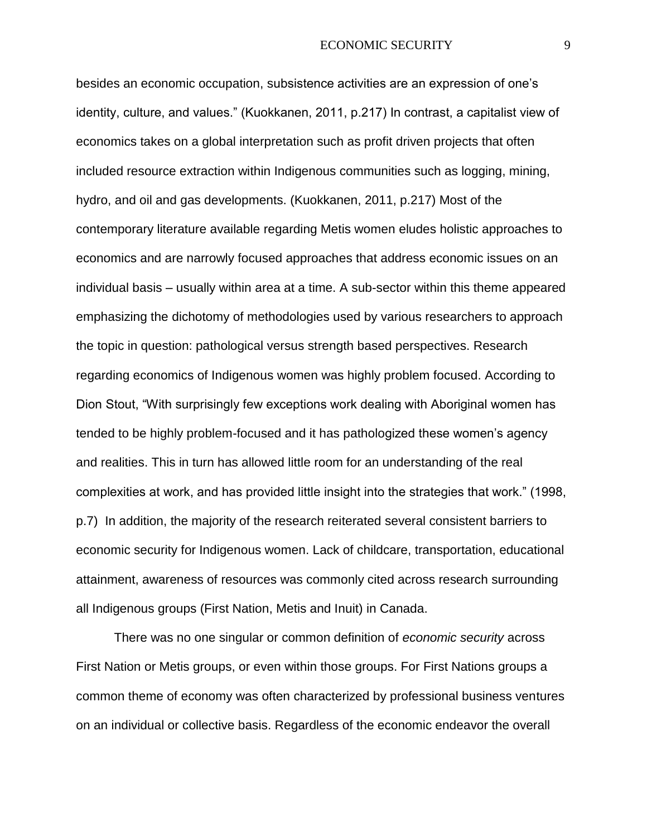besides an economic occupation, subsistence activities are an expression of one's identity, culture, and values." (Kuokkanen, 2011, p.217) In contrast, a capitalist view of economics takes on a global interpretation such as profit driven projects that often included resource extraction within Indigenous communities such as logging, mining, hydro, and oil and gas developments. (Kuokkanen, 2011, p.217) Most of the contemporary literature available regarding Metis women eludes holistic approaches to economics and are narrowly focused approaches that address economic issues on an individual basis – usually within area at a time. A sub-sector within this theme appeared emphasizing the dichotomy of methodologies used by various researchers to approach the topic in question: pathological versus strength based perspectives. Research regarding economics of Indigenous women was highly problem focused. According to Dion Stout, "With surprisingly few exceptions work dealing with Aboriginal women has tended to be highly problem-focused and it has pathologized these women's agency and realities. This in turn has allowed little room for an understanding of the real complexities at work, and has provided little insight into the strategies that work." (1998, p.7) In addition, the majority of the research reiterated several consistent barriers to economic security for Indigenous women. Lack of childcare, transportation, educational attainment, awareness of resources was commonly cited across research surrounding all Indigenous groups (First Nation, Metis and Inuit) in Canada.

There was no one singular or common definition of *economic security* across First Nation or Metis groups, or even within those groups. For First Nations groups a common theme of economy was often characterized by professional business ventures on an individual or collective basis. Regardless of the economic endeavor the overall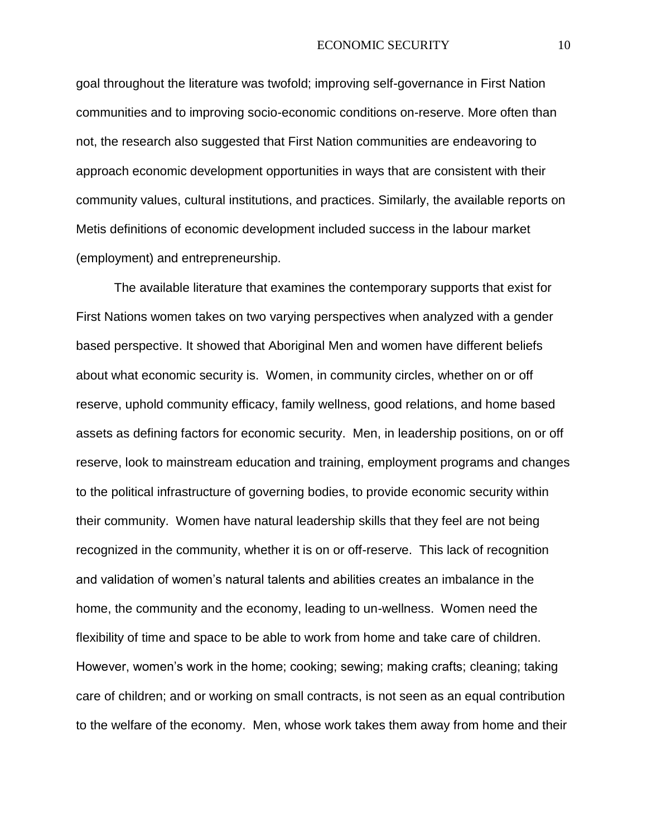goal throughout the literature was twofold; improving self-governance in First Nation communities and to improving socio-economic conditions on-reserve. More often than not, the research also suggested that First Nation communities are endeavoring to approach economic development opportunities in ways that are consistent with their community values, cultural institutions, and practices. Similarly, the available reports on Metis definitions of economic development included success in the labour market (employment) and entrepreneurship.

The available literature that examines the contemporary supports that exist for First Nations women takes on two varying perspectives when analyzed with a gender based perspective. It showed that Aboriginal Men and women have different beliefs about what economic security is. Women, in community circles, whether on or off reserve, uphold community efficacy, family wellness, good relations, and home based assets as defining factors for economic security. Men, in leadership positions, on or off reserve, look to mainstream education and training, employment programs and changes to the political infrastructure of governing bodies, to provide economic security within their community. Women have natural leadership skills that they feel are not being recognized in the community, whether it is on or off-reserve. This lack of recognition and validation of women's natural talents and abilities creates an imbalance in the home, the community and the economy, leading to un-wellness. Women need the flexibility of time and space to be able to work from home and take care of children. However, women's work in the home; cooking; sewing; making crafts; cleaning; taking care of children; and or working on small contracts, is not seen as an equal contribution to the welfare of the economy. Men, whose work takes them away from home and their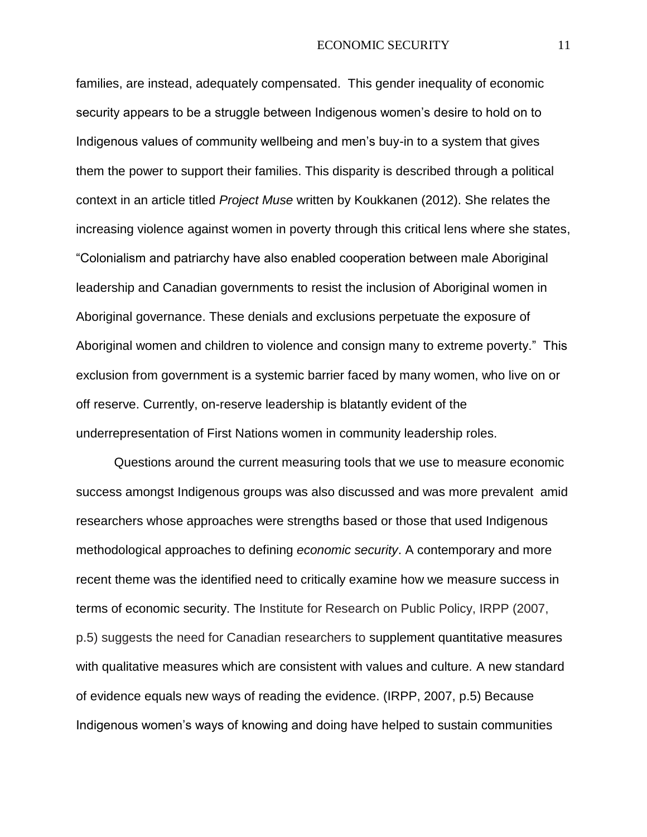families, are instead, adequately compensated. This gender inequality of economic security appears to be a struggle between Indigenous women's desire to hold on to Indigenous values of community wellbeing and men's buy-in to a system that gives them the power to support their families. This disparity is described through a political context in an article titled *Project Muse* written by Koukkanen (2012). She relates the increasing violence against women in poverty through this critical lens where she states, "Colonialism and patriarchy have also enabled cooperation between male Aboriginal leadership and Canadian governments to resist the inclusion of Aboriginal women in Aboriginal governance. These denials and exclusions perpetuate the exposure of Aboriginal women and children to violence and consign many to extreme poverty." This exclusion from government is a systemic barrier faced by many women, who live on or off reserve. Currently, on-reserve leadership is blatantly evident of the underrepresentation of First Nations women in community leadership roles.

Questions around the current measuring tools that we use to measure economic success amongst Indigenous groups was also discussed and was more prevalent amid researchers whose approaches were strengths based or those that used Indigenous methodological approaches to defining *economic security*. A contemporary and more recent theme was the identified need to critically examine how we measure success in terms of economic security. The Institute for Research on Public Policy, IRPP (2007, p.5) suggests the need for Canadian researchers to supplement quantitative measures with qualitative measures which are consistent with values and culture*.* A new standard of evidence equals new ways of reading the evidence. (IRPP, 2007, p.5) Because Indigenous women's ways of knowing and doing have helped to sustain communities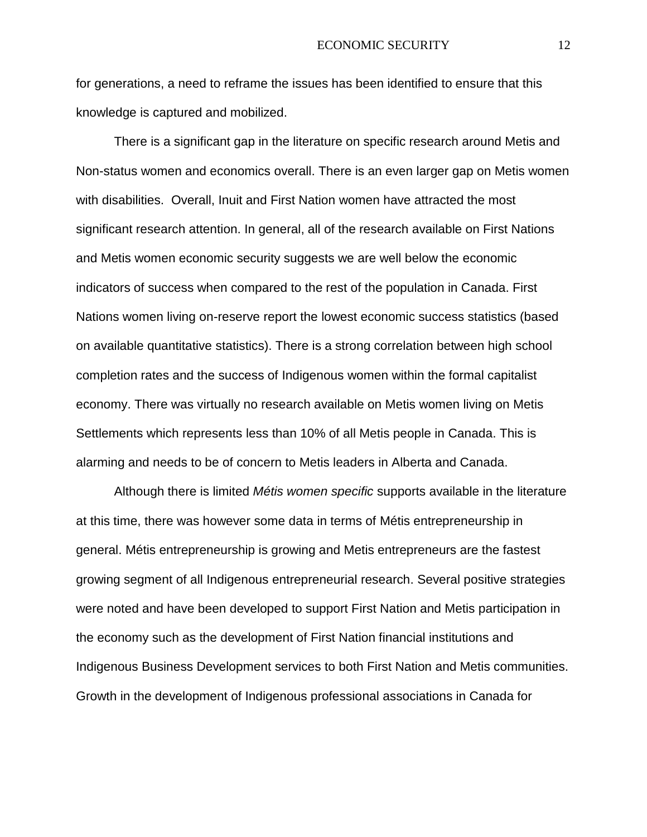for generations, a need to reframe the issues has been identified to ensure that this knowledge is captured and mobilized.

There is a significant gap in the literature on specific research around Metis and Non-status women and economics overall. There is an even larger gap on Metis women with disabilities. Overall, Inuit and First Nation women have attracted the most significant research attention. In general, all of the research available on First Nations and Metis women economic security suggests we are well below the economic indicators of success when compared to the rest of the population in Canada. First Nations women living on-reserve report the lowest economic success statistics (based on available quantitative statistics). There is a strong correlation between high school completion rates and the success of Indigenous women within the formal capitalist economy. There was virtually no research available on Metis women living on Metis Settlements which represents less than 10% of all Metis people in Canada. This is alarming and needs to be of concern to Metis leaders in Alberta and Canada.

Although there is limited *Métis women specific* supports available in the literature at this time, there was however some data in terms of Métis entrepreneurship in general. Métis entrepreneurship is growing and Metis entrepreneurs are the fastest growing segment of all Indigenous entrepreneurial research. Several positive strategies were noted and have been developed to support First Nation and Metis participation in the economy such as the development of First Nation financial institutions and Indigenous Business Development services to both First Nation and Metis communities. Growth in the development of Indigenous professional associations in Canada for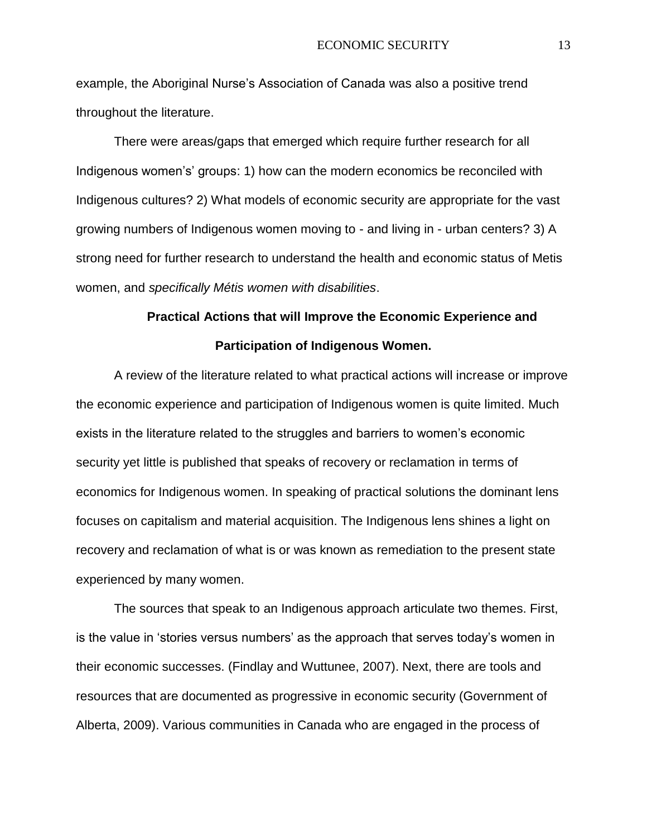example, the Aboriginal Nurse's Association of Canada was also a positive trend throughout the literature.

There were areas/gaps that emerged which require further research for all Indigenous women's' groups: 1) how can the modern economics be reconciled with Indigenous cultures? 2) What models of economic security are appropriate for the vast growing numbers of Indigenous women moving to - and living in - urban centers? 3) A strong need for further research to understand the health and economic status of Metis women, and *specifically Métis women with disabilities*.

# **Practical Actions that will Improve the Economic Experience and Participation of Indigenous Women.**

A review of the literature related to what practical actions will increase or improve the economic experience and participation of Indigenous women is quite limited. Much exists in the literature related to the struggles and barriers to women's economic security yet little is published that speaks of recovery or reclamation in terms of economics for Indigenous women. In speaking of practical solutions the dominant lens focuses on capitalism and material acquisition. The Indigenous lens shines a light on recovery and reclamation of what is or was known as remediation to the present state experienced by many women.

The sources that speak to an Indigenous approach articulate two themes. First, is the value in 'stories versus numbers' as the approach that serves today's women in their economic successes. (Findlay and Wuttunee, 2007). Next, there are tools and resources that are documented as progressive in economic security (Government of Alberta, 2009). Various communities in Canada who are engaged in the process of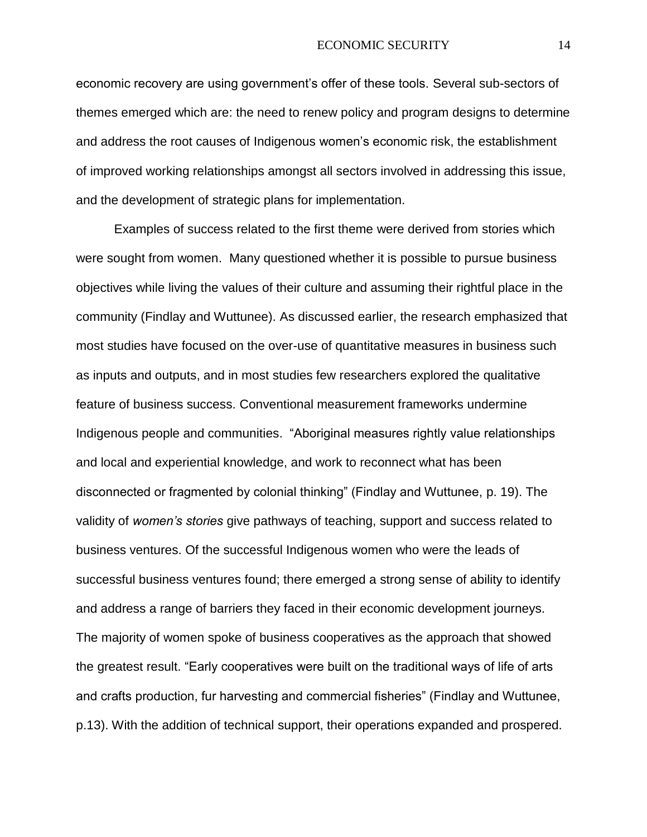economic recovery are using government's offer of these tools. Several sub-sectors of themes emerged which are: the need to renew policy and program designs to determine and address the root causes of Indigenous women's economic risk, the establishment of improved working relationships amongst all sectors involved in addressing this issue, and the development of strategic plans for implementation.

Examples of success related to the first theme were derived from stories which were sought from women. Many questioned whether it is possible to pursue business objectives while living the values of their culture and assuming their rightful place in the community (Findlay and Wuttunee). As discussed earlier, the research emphasized that most studies have focused on the over-use of quantitative measures in business such as inputs and outputs, and in most studies few researchers explored the qualitative feature of business success. Conventional measurement frameworks undermine Indigenous people and communities. "Aboriginal measures rightly value relationships and local and experiential knowledge, and work to reconnect what has been disconnected or fragmented by colonial thinking" (Findlay and Wuttunee, p. 19). The validity of *women's stories* give pathways of teaching, support and success related to business ventures. Of the successful Indigenous women who were the leads of successful business ventures found; there emerged a strong sense of ability to identify and address a range of barriers they faced in their economic development journeys. The majority of women spoke of business cooperatives as the approach that showed the greatest result. "Early cooperatives were built on the traditional ways of life of arts and crafts production, fur harvesting and commercial fisheries" (Findlay and Wuttunee, p.13). With the addition of technical support, their operations expanded and prospered.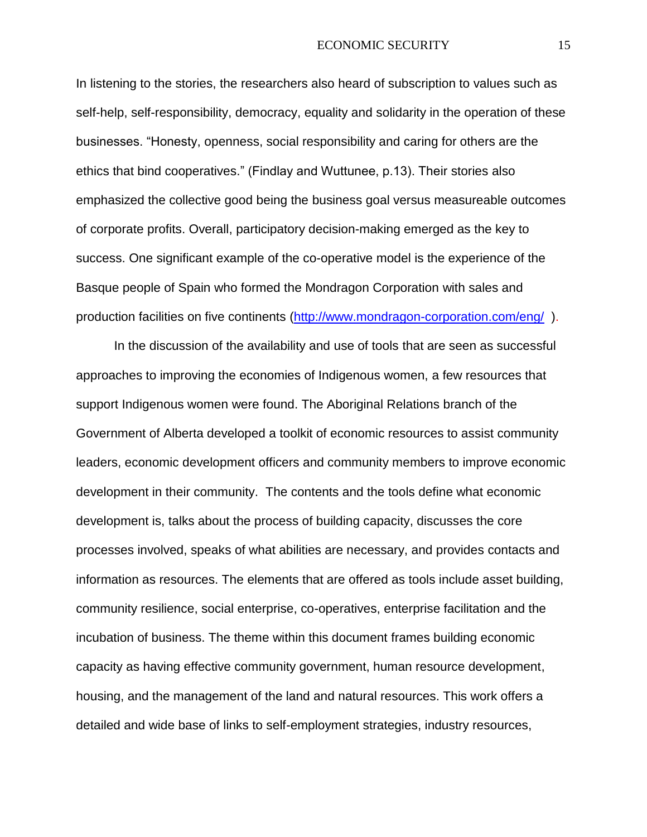In listening to the stories, the researchers also heard of subscription to values such as self-help, self-responsibility, democracy, equality and solidarity in the operation of these businesses. "Honesty, openness, social responsibility and caring for others are the ethics that bind cooperatives." (Findlay and Wuttunee, p.13). Their stories also emphasized the collective good being the business goal versus measureable outcomes of corporate profits. Overall, participatory decision-making emerged as the key to success. One significant example of the co-operative model is the experience of the Basque people of Spain who formed the Mondragon Corporation with sales and production facilities on five continents [\(http://www.mondragon-corporation.com/eng/](http://www.mondragon-corporation.com/eng/) ).

In the discussion of the availability and use of tools that are seen as successful approaches to improving the economies of Indigenous women, a few resources that support Indigenous women were found. The Aboriginal Relations branch of the Government of Alberta developed a toolkit of economic resources to assist community leaders, economic development officers and community members to improve economic development in their community. The contents and the tools define what economic development is, talks about the process of building capacity, discusses the core processes involved, speaks of what abilities are necessary, and provides contacts and information as resources. The elements that are offered as tools include asset building, community resilience, social enterprise, co-operatives, enterprise facilitation and the incubation of business. The theme within this document frames building economic capacity as having effective community government, human resource development, housing, and the management of the land and natural resources. This work offers a detailed and wide base of links to self-employment strategies, industry resources,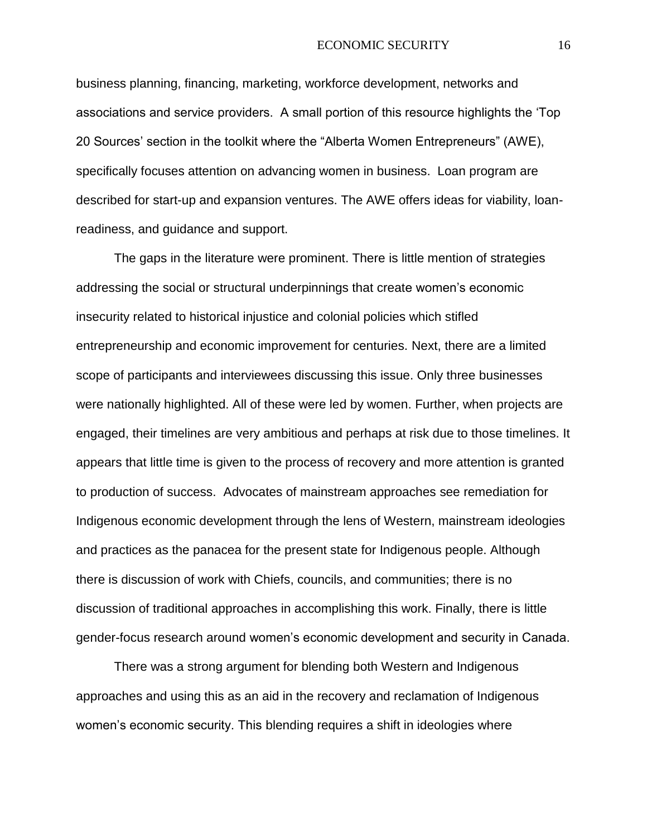business planning, financing, marketing, workforce development, networks and associations and service providers. A small portion of this resource highlights the 'Top 20 Sources' section in the toolkit where the "Alberta Women Entrepreneurs" (AWE), specifically focuses attention on advancing women in business. Loan program are described for start-up and expansion ventures. The AWE offers ideas for viability, loanreadiness, and guidance and support.

The gaps in the literature were prominent. There is little mention of strategies addressing the social or structural underpinnings that create women's economic insecurity related to historical injustice and colonial policies which stifled entrepreneurship and economic improvement for centuries. Next, there are a limited scope of participants and interviewees discussing this issue. Only three businesses were nationally highlighted. All of these were led by women. Further, when projects are engaged, their timelines are very ambitious and perhaps at risk due to those timelines. It appears that little time is given to the process of recovery and more attention is granted to production of success. Advocates of mainstream approaches see remediation for Indigenous economic development through the lens of Western, mainstream ideologies and practices as the panacea for the present state for Indigenous people. Although there is discussion of work with Chiefs, councils, and communities; there is no discussion of traditional approaches in accomplishing this work. Finally, there is little gender-focus research around women's economic development and security in Canada.

There was a strong argument for blending both Western and Indigenous approaches and using this as an aid in the recovery and reclamation of Indigenous women's economic security. This blending requires a shift in ideologies where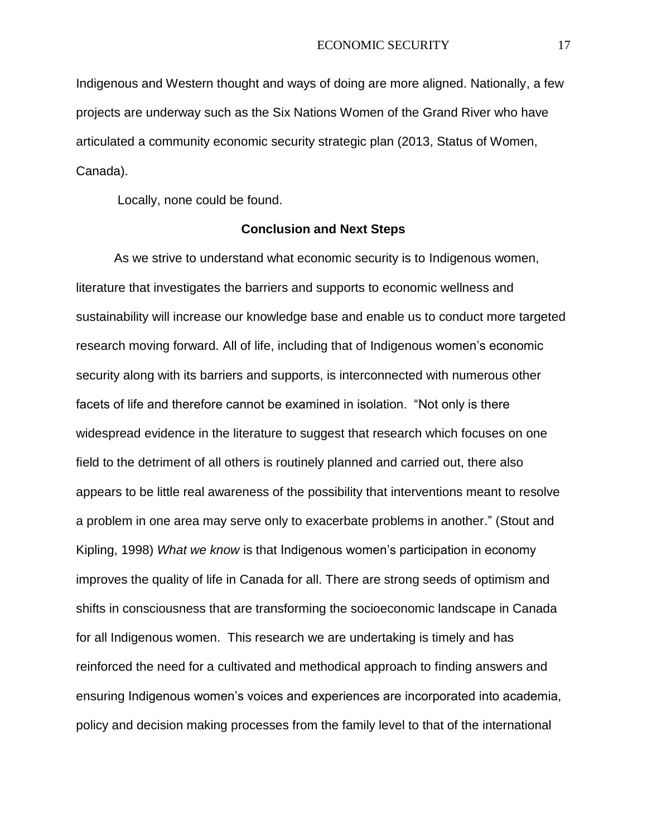Indigenous and Western thought and ways of doing are more aligned. Nationally, a few projects are underway such as the Six Nations Women of the Grand River who have articulated a community economic security strategic plan (2013, Status of Women, Canada).

Locally, none could be found.

### **Conclusion and Next Steps**

As we strive to understand what economic security is to Indigenous women, literature that investigates the barriers and supports to economic wellness and sustainability will increase our knowledge base and enable us to conduct more targeted research moving forward. All of life, including that of Indigenous women's economic security along with its barriers and supports, is interconnected with numerous other facets of life and therefore cannot be examined in isolation. "Not only is there widespread evidence in the literature to suggest that research which focuses on one field to the detriment of all others is routinely planned and carried out, there also appears to be little real awareness of the possibility that interventions meant to resolve a problem in one area may serve only to exacerbate problems in another." (Stout and Kipling, 1998) *What we know* is that Indigenous women's participation in economy improves the quality of life in Canada for all. There are strong seeds of optimism and shifts in consciousness that are transforming the socioeconomic landscape in Canada for all Indigenous women. This research we are undertaking is timely and has reinforced the need for a cultivated and methodical approach to finding answers and ensuring Indigenous women's voices and experiences are incorporated into academia, policy and decision making processes from the family level to that of the international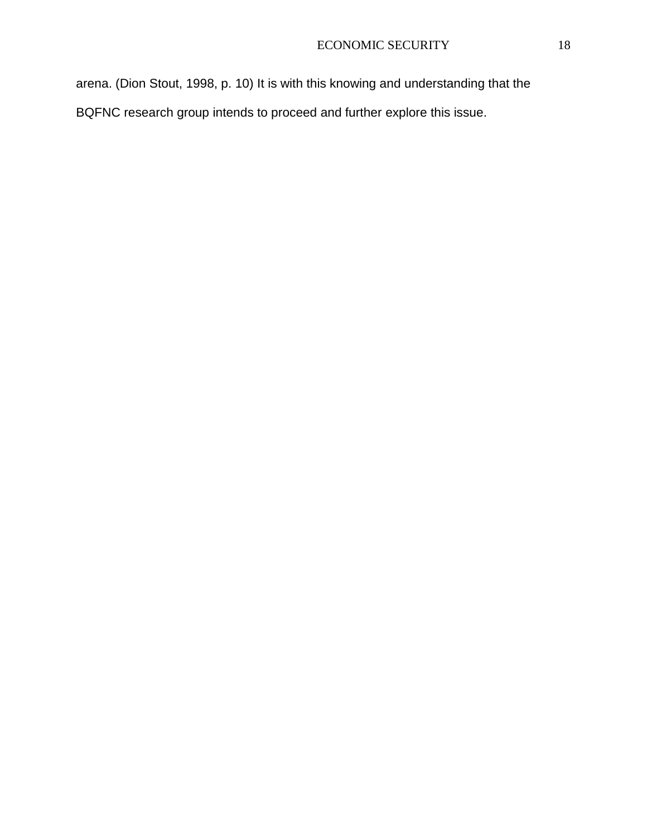arena. (Dion Stout, 1998, p. 10) It is with this knowing and understanding that the BQFNC research group intends to proceed and further explore this issue.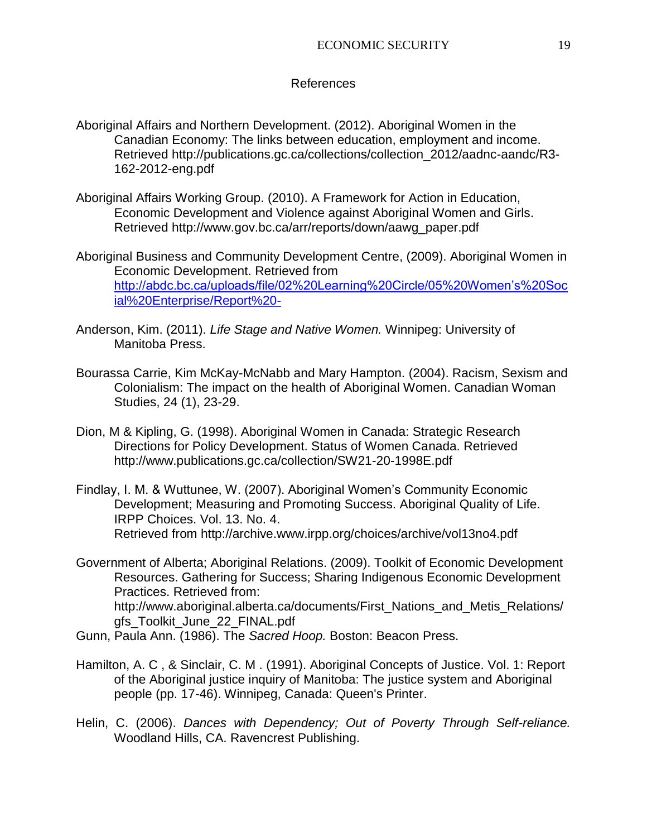### References

- Aboriginal Affairs and Northern Development. (2012). Aboriginal Women in the Canadian Economy: The links between education, employment and income. Retrieved [http://publications.gc.ca/collections/collection\\_2012/aadnc-aandc/R3-](http://publications.gc.ca/collections/collection_2012/aadnc-aandc/R3-162-2012-eng.pdf) [162-2012-eng.pdf](http://publications.gc.ca/collections/collection_2012/aadnc-aandc/R3-162-2012-eng.pdf)
- Aboriginal Affairs Working Group. (2010). A Framework for Action in Education, Economic Development and Violence against Aboriginal Women and Girls. Retrieved [http://www.gov.bc.ca/arr/reports/down/aawg\\_paper.pdf](http://www.gov.bc.ca/arr/reports/down/aawg_paper.pdf)
- Aboriginal Business and Community Development Centre, (2009). Aboriginal Women in Economic Development. Retrieved from [http://abdc.bc.ca/uploads/file/02%20Learning%20Circle/05%20Women's%20Soc](http://abdc.bc.ca/uploads/file/02%20Learning%20Circle/05%20Women) [ial%20Enterprise/Report%20-](http://abdc.bc.ca/uploads/file/02%20Learning%20Circle/05%20Women)
- Anderson, Kim. (2011). *Life Stage and Native Women.* Winnipeg: University of Manitoba Press.
- Bourassa Carrie, Kim McKay-McNabb and Mary Hampton. (2004). Racism, Sexism and Colonialism: The impact on the health of Aboriginal Women. Canadian Woman Studies, 24 (1), 23-29.
- Dion, M & Kipling, G. (1998). Aboriginal Women in Canada: Strategic Research Directions for Policy Development. Status of Women Canada. Retrieved <http://www.publications.gc.ca/collection/SW21-20-1998E.pdf>
- Findlay, I. M. & Wuttunee, W. (2007). Aboriginal Women's Community Economic Development; Measuring and Promoting Success. Aboriginal Quality of Life. IRPP Choices. Vol. 13. No. 4. Retrieved from<http://archive.www.irpp.org/choices/archive/vol13no4.pdf>
- Government of Alberta; Aboriginal Relations. (2009). Toolkit of Economic Development Resources. Gathering for Success; Sharing Indigenous Economic Development Practices. Retrieved from: [http://www.aboriginal.alberta.ca/documents/First\\_Nations\\_and\\_Metis\\_Relations/](http://www.aboriginal.alberta.ca/documents/First_Nations_and_Metis_Relations/gfs_Toolkit_June_22_FINAL.pdf) [gfs\\_Toolkit\\_June\\_22\\_FINAL.pdf](http://www.aboriginal.alberta.ca/documents/First_Nations_and_Metis_Relations/gfs_Toolkit_June_22_FINAL.pdf)
- Gunn, Paula Ann. (1986). The *Sacred Hoop.* Boston: Beacon Press.
- Hamilton, A. C , & Sinclair, C. M . (1991). Aboriginal Concepts of Justice. Vol. 1: Report of the Aboriginal justice inquiry of Manitoba: The justice system and Aboriginal people (pp. 17-46). Winnipeg, Canada: Queen's Printer.
- Helin, C. (2006). *Dances with Dependency; Out of Poverty Through Self-reliance.* Woodland Hills, CA. Ravencrest Publishing.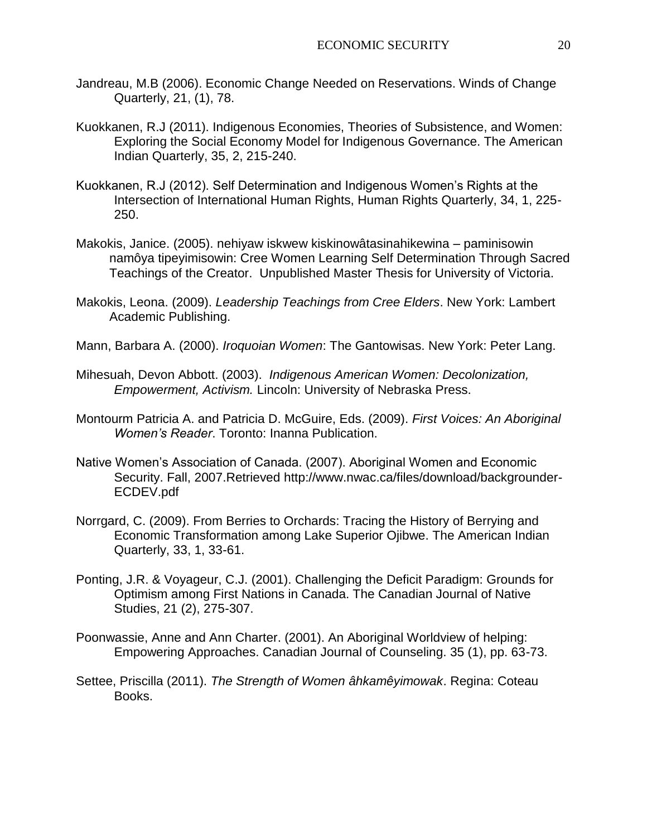- Jandreau, M.B (2006). Economic Change Needed on Reservations. Winds of Change Quarterly, 21, (1), 78.
- Kuokkanen, R.J (2011). Indigenous Economies, Theories of Subsistence, and Women: Exploring the Social Economy Model for Indigenous Governance. The American Indian Quarterly, 35, 2, 215-240.
- Kuokkanen, R.J (2012). Self Determination and Indigenous Women's Rights at the Intersection of International Human Rights, Human Rights Quarterly, 34, 1, 225- 250.
- Makokis, Janice. (2005). nehiyaw iskwew kiskinowâtasinahikewina paminisowin namôya tipeyimisowin: Cree Women Learning Self Determination Through Sacred Teachings of the Creator. Unpublished Master Thesis for University of Victoria.
- Makokis, Leona. (2009). *Leadership Teachings from Cree Elders*. New York: Lambert Academic Publishing.
- Mann, Barbara A. (2000). *Iroquoian Women*: The Gantowisas. New York: Peter Lang.
- Mihesuah, Devon Abbott. (2003). *Indigenous American Women: Decolonization, Empowerment, Activism.* Lincoln: University of Nebraska Press.
- Montourm Patricia A. and Patricia D. McGuire, Eds. (2009). *First Voices: An Aboriginal Women's Reader*. Toronto: Inanna Publication.
- Native Women's Association of Canada. (2007). Aboriginal Women and Economic Security. Fall, 2007.Retrieved [http://www.nwac.ca/files/download/backgrounder-](http://www.mwac.ca/files/download/backgrounder-ECDEV.pdf)[ECDEV.pdf](http://www.mwac.ca/files/download/backgrounder-ECDEV.pdf)
- Norrgard, C. (2009). From Berries to Orchards: Tracing the History of Berrying and Economic Transformation among Lake Superior Ojibwe. The American Indian Quarterly, 33, 1, 33-61.
- Ponting, J.R. & Voyageur, C.J. (2001). Challenging the Deficit Paradigm: Grounds for Optimism among First Nations in Canada. The Canadian Journal of Native Studies, 21 (2), 275-307.
- Poonwassie, Anne and Ann Charter. (2001). An Aboriginal Worldview of helping: Empowering Approaches. Canadian Journal of Counseling. 35 (1), pp. 63-73.
- Settee, Priscilla (2011). *The Strength of Women âhkamêyimowak*. Regina: Coteau Books.